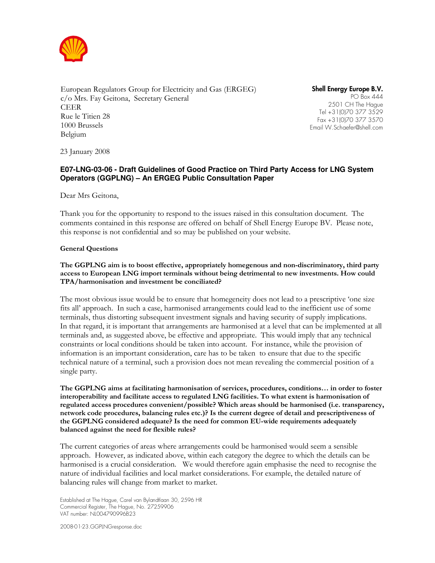

European Regulators Group for Electricity and Gas (ERGEG) c/o Mrs. Fay Geitona, Secretary General CEER Rue le Titien 28 1000 Brussels Belgium

Shell Energy Europe B.V. PO Box 444 2501 CH The Hague Tel +31(0)70 377 3529 Fax +31(0)70 377 3570 Email W.Schaefer@shell.com

23 January 2008

# **E07-LNG-03-06 - Draft Guidelines of Good Practice on Third Party Access for LNG System Operators (GGPLNG) – An ERGEG Public Consultation Paper**

Dear Mrs Geitona,

Thank you for the opportunity to respond to the issues raised in this consultation document. The comments contained in this response are offered on behalf of Shell Energy Europe BV. Please note, this response is not confidential and so may be published on your website.

### General Questions

### The GGPLNG aim is to boost effective, appropriately homegenous and non-discriminatory, third party access to European LNG import terminals without being detrimental to new investments. How could TPA/harmonisation and investment be conciliated?

The most obvious issue would be to ensure that homegeneity does not lead to a prescriptive 'one size fits all' approach. In such a case, harmonised arrangements could lead to the inefficient use of some terminals, thus distorting subsequent investment signals and having security of supply implications. In that regard, it is important that arrangements are harmonised at a level that can be implemented at all terminals and, as suggested above, be effective and appropriate. This would imply that any technical constraints or local conditions should be taken into account. For instance, while the provision of information is an important consideration, care has to be taken to ensure that due to the specific technical nature of a terminal, such a provision does not mean revealing the commercial position of a single party.

The GGPLNG aims at facilitating harmonisation of services, procedures, conditions… in order to foster interoperability and facilitate access to regulated LNG facilities. To what extent is harmonisation of regulated access procedures convenient/possible? Which areas should be harmonised (i.e. transparency, network code procedures, balancing rules etc.)? Is the current degree of detail and prescriptiveness of the GGPLNG considered adequate? Is the need for common EU-wide requirements adequately balanced against the need for flexible rules?

The current categories of areas where arrangements could be harmonised would seem a sensible approach. However, as indicated above, within each category the degree to which the details can be harmonised is a crucial consideration. We would therefore again emphasise the need to recognise the nature of individual facilities and local market considerations. For example, the detailed nature of balancing rules will change from market to market.

Established at The Hague, Carel van Bylandtlaan 30, 2596 HR Commercial Register, The Hague, No. 27259906 VAT number: NL004790996B23

2008-01-23.GGPLNGresponse.doc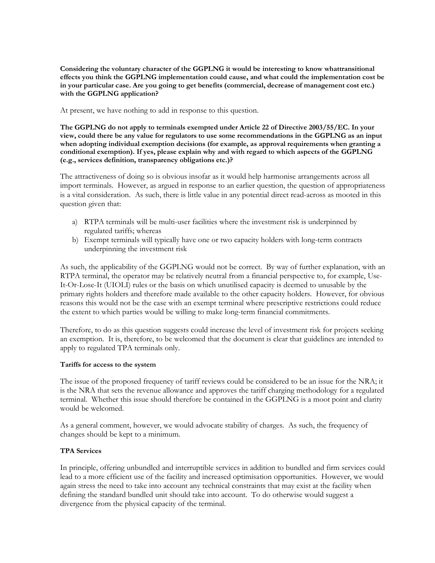Considering the voluntary character of the GGPLNG it would be interesting to know whattransitional effects you think the GGPLNG implementation could cause, and what could the implementation cost be in your particular case. Are you going to get benefits (commercial, decrease of management cost etc.) with the GGPLNG application?

At present, we have nothing to add in response to this question.

The GGPLNG do not apply to terminals exempted under Article 22 of Directive 2003/55/EC. In your view, could there be any value for regulators to use some recommendations in the GGPLNG as an input when adopting individual exemption decisions (for example, as approval requirements when granting a conditional exemption). If yes, please explain why and with regard to which aspects of the GGPLNG (e.g., services definition, transparency obligations etc.)?

The attractiveness of doing so is obvious insofar as it would help harmonise arrangements across all import terminals. However, as argued in response to an earlier question, the question of appropriateness is a vital consideration. As such, there is little value in any potential direct read-across as mooted in this question given that:

- a) RTPA terminals will be multi-user facilities where the investment risk is underpinned by regulated tariffs; whereas
- b) Exempt terminals will typically have one or two capacity holders with long-term contracts underpinning the investment risk

As such, the applicability of the GGPLNG would not be correct. By way of further explanation, with an RTPA terminal, the operator may be relatively neutral from a financial perspective to, for example, Use-It-Or-Lose-It (UIOLI) rules or the basis on which unutilised capacity is deemed to unusable by the primary rights holders and therefore made available to the other capacity holders. However, for obvious reasons this would not be the case with an exempt terminal where prescriptive restrictions could reduce the extent to which parties would be willing to make long-term financial commitments.

Therefore, to do as this question suggests could increase the level of investment risk for projects seeking an exemption. It is, therefore, to be welcomed that the document is clear that guidelines are intended to apply to regulated TPA terminals only.

## Tariffs for access to the system

The issue of the proposed frequency of tariff reviews could be considered to be an issue for the NRA; it is the NRA that sets the revenue allowance and approves the tariff charging methodology for a regulated terminal. Whether this issue should therefore be contained in the GGPLNG is a moot point and clarity would be welcomed.

As a general comment, however, we would advocate stability of charges. As such, the frequency of changes should be kept to a minimum.

## TPA Services

In principle, offering unbundled and interruptible services in addition to bundled and firm services could lead to a more efficient use of the facility and increased optimisation opportunities. However, we would again stress the need to take into account any technical constraints that may exist at the facility when defining the standard bundled unit should take into account. To do otherwise would suggest a divergence from the physical capacity of the terminal.